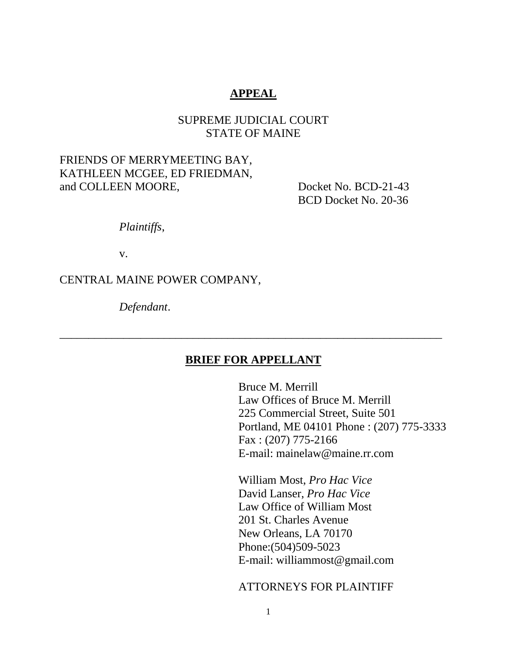# **APPEAL**

# SUPREME JUDICIAL COURT STATE OF MAINE

## FRIENDS OF MERRYMEETING BAY, KATHLEEN MCGEE, ED FRIEDMAN, and COLLEEN MOORE, Docket No. BCD-21-43

BCD Docket No. 20-36

*Plaintiffs*,

v.

## CENTRAL MAINE POWER COMPANY,

*Defendant*.

### **BRIEF FOR APPELLANT**

\_\_\_\_\_\_\_\_\_\_\_\_\_\_\_\_\_\_\_\_\_\_\_\_\_\_\_\_\_\_\_\_\_\_\_\_\_\_\_\_\_\_\_\_\_\_\_\_\_\_\_\_\_\_\_\_\_\_\_\_\_\_\_\_\_\_

Bruce M. Merrill Law Offices of Bruce M. Merrill 225 Commercial Street, Suite 501 Portland, ME 04101 Phone : (207) 775-3333 Fax : (207) 775-2166 E-mail: mainelaw@maine.rr.com

William Most, *Pro Hac Vice*  David Lanser, *Pro Hac Vice*  Law Office of William Most 201 St. Charles Avenue New Orleans, LA 70170 Phone:(504)509-5023 E-mail: williammost@gmail.com

### ATTORNEYS FOR PLAINTIFF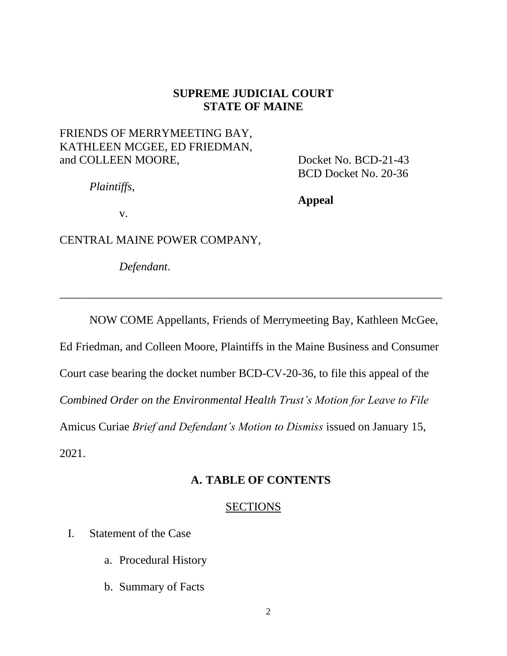## **SUPREME JUDICIAL COURT STATE OF MAINE**

# FRIENDS OF MERRYMEETING BAY, KATHLEEN MCGEE, ED FRIEDMAN, and COLLEEN MOORE, Docket No. BCD-21-43

BCD Docket No. 20-36

*Plaintiffs*,

**Appeal**

v.

CENTRAL MAINE POWER COMPANY,

*Defendant*.

NOW COME Appellants, Friends of Merrymeeting Bay, Kathleen McGee, Ed Friedman, and Colleen Moore, Plaintiffs in the Maine Business and Consumer Court case bearing the docket number BCD-CV-20-36, to file this appeal of the *Combined Order on the Environmental Health Trust's Motion for Leave to File*  Amicus Curiae *Brief and Defendant's Motion to Dismiss* issued on January 15, 2021.

 $\overline{\phantom{a}}$  , and the contract of the contract of the contract of the contract of the contract of the contract of the contract of the contract of the contract of the contract of the contract of the contract of the contrac

# **A. TABLE OF CONTENTS**

### SECTIONS

- I. Statement of the Case
	- a. Procedural History
	- b. Summary of Facts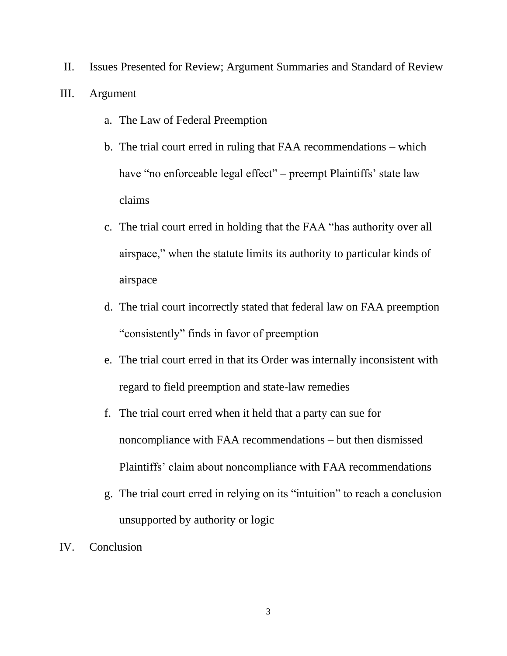II. Issues Presented for Review; Argument Summaries and Standard of Review III. Argument

- a. The Law of Federal Preemption
- b. The trial court erred in ruling that FAA recommendations which have "no enforceable legal effect" – preempt Plaintiffs' state law claims
- c. The trial court erred in holding that the FAA "has authority over all airspace," when the statute limits its authority to particular kinds of airspace
- d. The trial court incorrectly stated that federal law on FAA preemption "consistently" finds in favor of preemption
- e. The trial court erred in that its Order was internally inconsistent with regard to field preemption and state-law remedies
- f. The trial court erred when it held that a party can sue for noncompliance with FAA recommendations – but then dismissed Plaintiffs' claim about noncompliance with FAA recommendations
- g. The trial court erred in relying on its "intuition" to reach a conclusion unsupported by authority or logic
- IV. Conclusion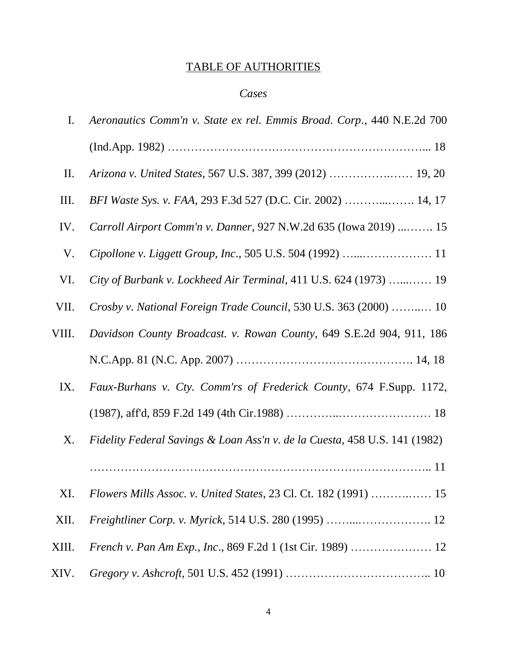# TABLE OF AUTHORITIES

# *Cases*

| I.    | Aeronautics Comm'n v. State ex rel. Emmis Broad. Corp., 440 N.E.2d 700     |
|-------|----------------------------------------------------------------------------|
|       |                                                                            |
| П.    |                                                                            |
| Ш.    | BFI Waste Sys. v. FAA, 293 F.3d 527 (D.C. Cir. 2002)  14, 17               |
| IV.   | Carroll Airport Comm'n v. Danner, 927 N.W.2d 635 (Iowa 2019)  15           |
| V.    |                                                                            |
| VI.   | City of Burbank v. Lockheed Air Terminal, 411 U.S. 624 (1973)  19          |
| VII.  | Crosby v. National Foreign Trade Council, 530 U.S. 363 (2000)  10          |
| VIII. | Davidson County Broadcast. v. Rowan County, 649 S.E.2d 904, 911, 186       |
|       |                                                                            |
| IX.   | Faux-Burhans v. Cty. Comm'rs of Frederick County, 674 F.Supp. 1172,        |
|       |                                                                            |
| X.    | Fidelity Federal Savings & Loan Ass'n v. de la Cuesta, 458 U.S. 141 (1982) |
|       |                                                                            |
| XI.   | Flowers Mills Assoc. v. United States, 23 Cl. Ct. 182 (1991)  15           |
| XII.  |                                                                            |
| XIII. | French v. Pan Am Exp., Inc., 869 F.2d 1 (1st Cir. 1989)  12                |
| XIV.  |                                                                            |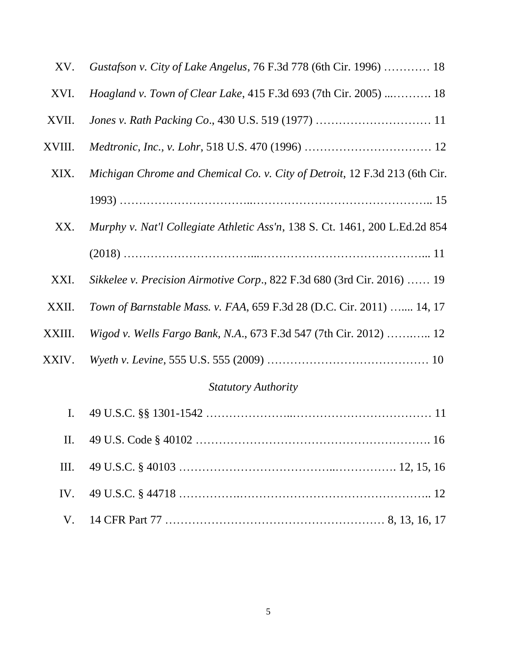| XV.    | Gustafson v. City of Lake Angelus, 76 F.3d 778 (6th Cir. 1996)  18          |
|--------|-----------------------------------------------------------------------------|
| XVI.   | <i>Hoagland v. Town of Clear Lake, 415 F.3d 693 (7th Cir. 2005)  18</i>     |
| XVII.  |                                                                             |
| XVIII. |                                                                             |
| XIX.   | Michigan Chrome and Chemical Co. v. City of Detroit, 12 F.3d 213 (6th Cir.  |
|        |                                                                             |
| XX.    | Murphy v. Nat'l Collegiate Athletic Ass'n, 138 S. Ct. 1461, 200 L.Ed.2d 854 |
|        |                                                                             |
| XXI.   | Sikkelee v. Precision Airmotive Corp., 822 F.3d 680 (3rd Cir. 2016)  19     |
| XXII.  | Town of Barnstable Mass. v. FAA, 659 F.3d 28 (D.C. Cir. 2011)  14, 17       |
| XXIII. | Wigod v. Wells Fargo Bank, N.A., 673 F.3d 547 (7th Cir. 2012)  12           |
| XXIV.  |                                                                             |
|        | $\mathcal{C}_{tath}$ comparation                                            |

### *Statutory Authority*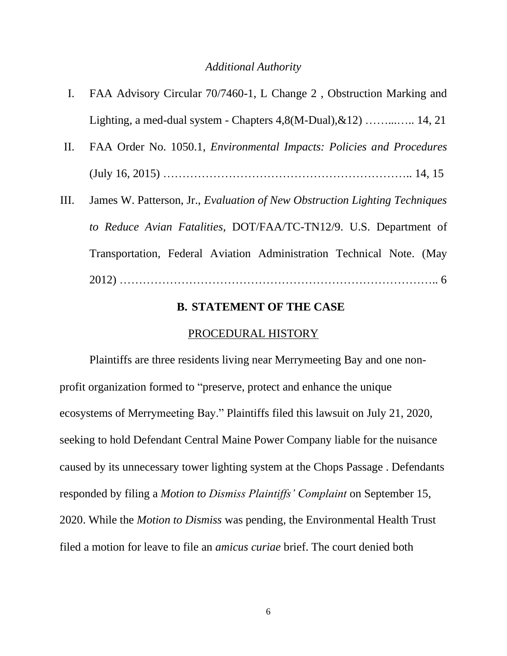#### *Additional Authority*

- I. FAA Advisory Circular 70/7460-1, L Change 2 , Obstruction Marking and Lighting, a med-dual system - Chapters  $4.8(M\text{-}Dual), \& 12)$  .............. 14, 21
- II. FAA Order No. 1050.1, *Environmental Impacts: Policies and Procedures* (July 16, 2015) ……………………………………………………….. 14, 15
- III. James W. Patterson, Jr., *Evaluation of New Obstruction Lighting Techniques to Reduce Avian Fatalities*, DOT/FAA/TC-TN12/9. U.S. Department of Transportation, Federal Aviation Administration Technical Note. (May 2012) ……………………………………………………………………….. 6

### **B. STATEMENT OF THE CASE**

### PROCEDURAL HISTORY

Plaintiffs are three residents living near Merrymeeting Bay and one nonprofit organization formed to "preserve, protect and enhance the unique ecosystems of Merrymeeting Bay." Plaintiffs filed this lawsuit on July 21, 2020, seeking to hold Defendant Central Maine Power Company liable for the nuisance caused by its unnecessary tower lighting system at the Chops Passage . Defendants responded by filing a *Motion to Dismiss Plaintiffs' Complaint* on September 15, 2020. While the *Motion to Dismiss* was pending, the Environmental Health Trust filed a motion for leave to file an *amicus curiae* brief. The court denied both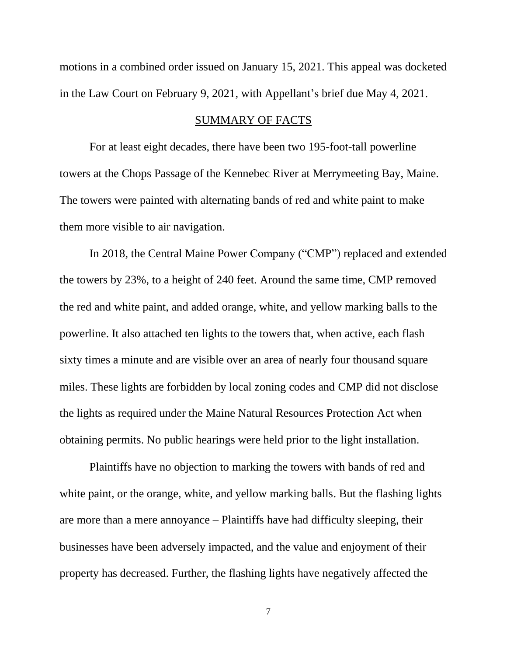motions in a combined order issued on January 15, 2021. This appeal was docketed in the Law Court on February 9, 2021, with Appellant's brief due May 4, 2021.

#### SUMMARY OF FACTS

For at least eight decades, there have been two 195-foot-tall powerline towers at the Chops Passage of the Kennebec River at Merrymeeting Bay, Maine. The towers were painted with alternating bands of red and white paint to make them more visible to air navigation.

In 2018, the Central Maine Power Company ("CMP") replaced and extended the towers by 23%, to a height of 240 feet. Around the same time, CMP removed the red and white paint, and added orange, white, and yellow marking balls to the powerline. It also attached ten lights to the towers that, when active, each flash sixty times a minute and are visible over an area of nearly four thousand square miles. These lights are forbidden by local zoning codes and CMP did not disclose the lights as required under the Maine Natural Resources Protection Act when obtaining permits. No public hearings were held prior to the light installation.

Plaintiffs have no objection to marking the towers with bands of red and white paint, or the orange, white, and yellow marking balls. But the flashing lights are more than a mere annoyance – Plaintiffs have had difficulty sleeping, their businesses have been adversely impacted, and the value and enjoyment of their property has decreased. Further, the flashing lights have negatively affected the

7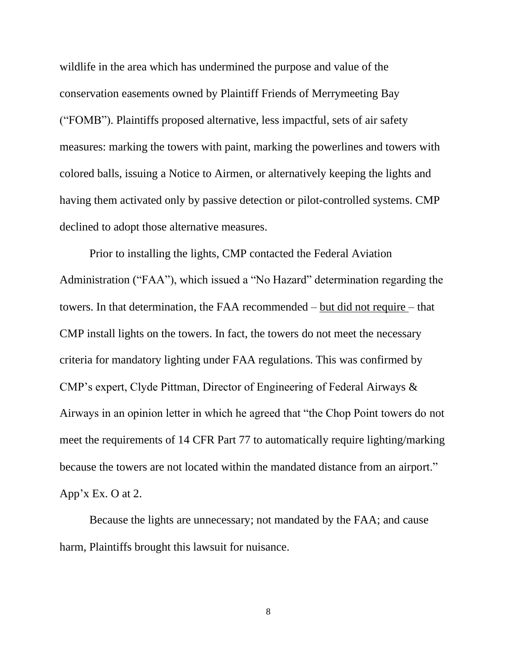wildlife in the area which has undermined the purpose and value of the conservation easements owned by Plaintiff Friends of Merrymeeting Bay ("FOMB"). Plaintiffs proposed alternative, less impactful, sets of air safety measures: marking the towers with paint, marking the powerlines and towers with colored balls, issuing a Notice to Airmen, or alternatively keeping the lights and having them activated only by passive detection or pilot-controlled systems. CMP declined to adopt those alternative measures.

Prior to installing the lights, CMP contacted the Federal Aviation Administration ("FAA"), which issued a "No Hazard" determination regarding the towers. In that determination, the FAA recommended – but did not require – that CMP install lights on the towers. In fact, the towers do not meet the necessary criteria for mandatory lighting under FAA regulations. This was confirmed by CMP's expert, Clyde Pittman, Director of Engineering of Federal Airways & Airways in an opinion letter in which he agreed that "the Chop Point towers do not meet the requirements of 14 CFR Part 77 to automatically require lighting/marking because the towers are not located within the mandated distance from an airport." App'x Ex. O at 2.

Because the lights are unnecessary; not mandated by the FAA; and cause harm, Plaintiffs brought this lawsuit for nuisance.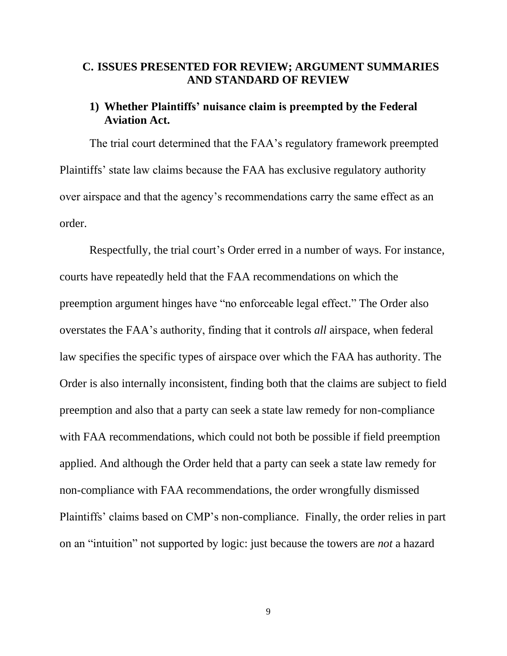# **C. ISSUES PRESENTED FOR REVIEW; ARGUMENT SUMMARIES AND STANDARD OF REVIEW**

### **1) Whether Plaintiffs' nuisance claim is preempted by the Federal Aviation Act.**

The trial court determined that the FAA's regulatory framework preempted Plaintiffs' state law claims because the FAA has exclusive regulatory authority over airspace and that the agency's recommendations carry the same effect as an order.

Respectfully, the trial court's Order erred in a number of ways. For instance, courts have repeatedly held that the FAA recommendations on which the preemption argument hinges have "no enforceable legal effect." The Order also overstates the FAA's authority, finding that it controls *all* airspace, when federal law specifies the specific types of airspace over which the FAA has authority. The Order is also internally inconsistent, finding both that the claims are subject to field preemption and also that a party can seek a state law remedy for non-compliance with FAA recommendations, which could not both be possible if field preemption applied. And although the Order held that a party can seek a state law remedy for non-compliance with FAA recommendations, the order wrongfully dismissed Plaintiffs' claims based on CMP's non-compliance. Finally, the order relies in part on an "intuition" not supported by logic: just because the towers are *not* a hazard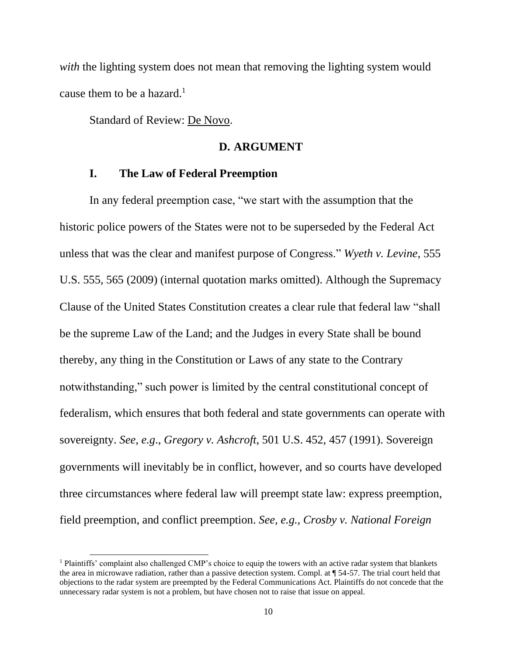*with* the lighting system does not mean that removing the lighting system would cause them to be a hazard.<sup>1</sup>

Standard of Review: De Novo.

### **D. ARGUMENT**

### **I. The Law of Federal Preemption**

In any federal preemption case, "we start with the assumption that the historic police powers of the States were not to be superseded by the Federal Act unless that was the clear and manifest purpose of Congress." *Wyeth v. Levine*, 555 U.S. 555, 565 (2009) (internal quotation marks omitted). Although the Supremacy Clause of the United States Constitution creates a clear rule that federal law "shall be the supreme Law of the Land; and the Judges in every State shall be bound thereby, any thing in the Constitution or Laws of any state to the Contrary notwithstanding," such power is limited by the central constitutional concept of federalism, which ensures that both federal and state governments can operate with sovereignty. *See, e.g*., *Gregory v. Ashcroft*, 501 U.S. 452, 457 (1991). Sovereign governments will inevitably be in conflict, however, and so courts have developed three circumstances where federal law will preempt state law: express preemption, field preemption, and conflict preemption. *See, e.g., Crosby v. National Foreign* 

<sup>&</sup>lt;sup>1</sup> Plaintiffs' complaint also challenged CMP's choice to equip the towers with an active radar system that blankets the area in microwave radiation, rather than a passive detection system. Compl. at ¶ 54-57. The trial court held that objections to the radar system are preempted by the Federal Communications Act. Plaintiffs do not concede that the unnecessary radar system is not a problem, but have chosen not to raise that issue on appeal.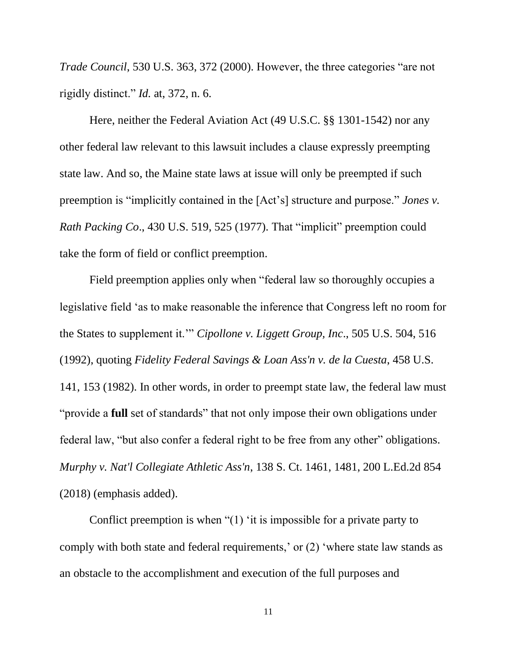*Trade Council*, 530 U.S. 363, 372 (2000). However, the three categories "are not rigidly distinct." *Id.* at, 372, n. 6.

Here, neither the Federal Aviation Act (49 U.S.C. §§ 1301-1542) nor any other federal law relevant to this lawsuit includes a clause expressly preempting state law. And so, the Maine state laws at issue will only be preempted if such preemption is "implicitly contained in the [Act's] structure and purpose." *Jones v. Rath Packing Co*., 430 U.S. 519, 525 (1977). That "implicit" preemption could take the form of field or conflict preemption.

Field preemption applies only when "federal law so thoroughly occupies a legislative field 'as to make reasonable the inference that Congress left no room for the States to supplement it.'" *Cipollone v. Liggett Group, Inc*., 505 U.S. 504, 516 (1992), quoting *Fidelity Federal Savings & Loan Ass'n v. de la Cuesta*, 458 U.S. 141, 153 (1982). In other words, in order to preempt state law, the federal law must "provide a **full** set of standards" that not only impose their own obligations under federal law, "but also confer a federal right to be free from any other" obligations. *Murphy v. Nat'l Collegiate Athletic Ass'n*, 138 S. Ct. 1461, 1481, 200 L.Ed.2d 854 (2018) (emphasis added).

Conflict preemption is when "(1) 'it is impossible for a private party to comply with both state and federal requirements,' or (2) 'where state law stands as an obstacle to the accomplishment and execution of the full purposes and

11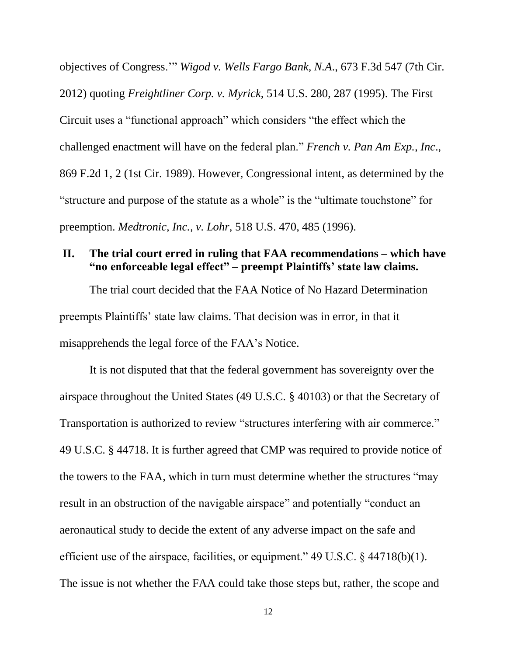objectives of Congress.'" *Wigod v. Wells Fargo Bank, N.A*., 673 F.3d 547 (7th Cir. 2012) quoting *Freightliner Corp. v. Myrick*, 514 U.S. 280, 287 (1995). The First Circuit uses a "functional approach" which considers "the effect which the challenged enactment will have on the federal plan." *French v. Pan Am Exp., Inc*., 869 F.2d 1, 2 (1st Cir. 1989). However, Congressional intent, as determined by the "structure and purpose of the statute as a whole" is the "ultimate touchstone" for preemption. *Medtronic, Inc., v. Lohr*, 518 U.S. 470, 485 (1996).

### **II. The trial court erred in ruling that FAA recommendations – which have "no enforceable legal effect" – preempt Plaintiffs' state law claims.**

The trial court decided that the FAA Notice of No Hazard Determination preempts Plaintiffs' state law claims. That decision was in error, in that it misapprehends the legal force of the FAA's Notice.

It is not disputed that that the federal government has sovereignty over the airspace throughout the United States (49 U.S.C. § 40103) or that the Secretary of Transportation is authorized to review "structures interfering with air commerce." 49 U.S.C. § 44718. It is further agreed that CMP was required to provide notice of the towers to the FAA, which in turn must determine whether the structures "may result in an obstruction of the navigable airspace" and potentially "conduct an aeronautical study to decide the extent of any adverse impact on the safe and efficient use of the airspace, facilities, or equipment." 49 U.S.C. § 44718(b)(1). The issue is not whether the FAA could take those steps but, rather, the scope and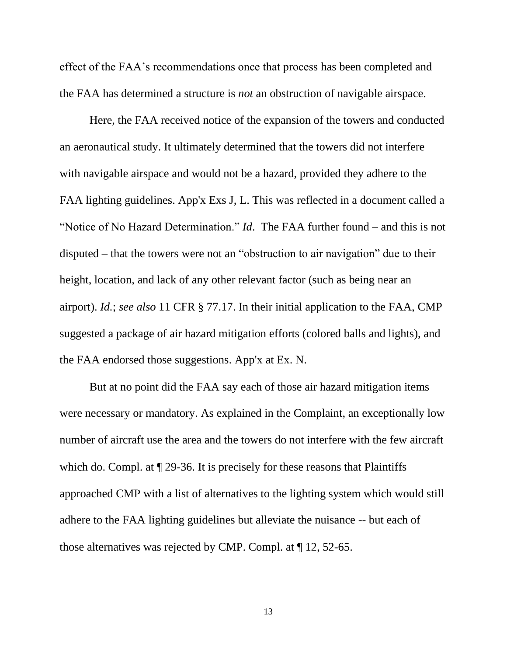effect of the FAA's recommendations once that process has been completed and the FAA has determined a structure is *not* an obstruction of navigable airspace.

Here, the FAA received notice of the expansion of the towers and conducted an aeronautical study. It ultimately determined that the towers did not interfere with navigable airspace and would not be a hazard, provided they adhere to the FAA lighting guidelines. App'x Exs J, L. This was reflected in a document called a "Notice of No Hazard Determination." *Id*. The FAA further found – and this is not disputed – that the towers were not an "obstruction to air navigation" due to their height, location, and lack of any other relevant factor (such as being near an airport). *Id.*; *see also* 11 CFR § 77.17. In their initial application to the FAA, CMP suggested a package of air hazard mitigation efforts (colored balls and lights), and the FAA endorsed those suggestions. App'x at Ex. N.

But at no point did the FAA say each of those air hazard mitigation items were necessary or mandatory. As explained in the Complaint, an exceptionally low number of aircraft use the area and the towers do not interfere with the few aircraft which do. Compl. at  $\sqrt{ }$  29-36. It is precisely for these reasons that Plaintiffs approached CMP with a list of alternatives to the lighting system which would still adhere to the FAA lighting guidelines but alleviate the nuisance -- but each of those alternatives was rejected by CMP. Compl. at ¶ 12, 52-65.

13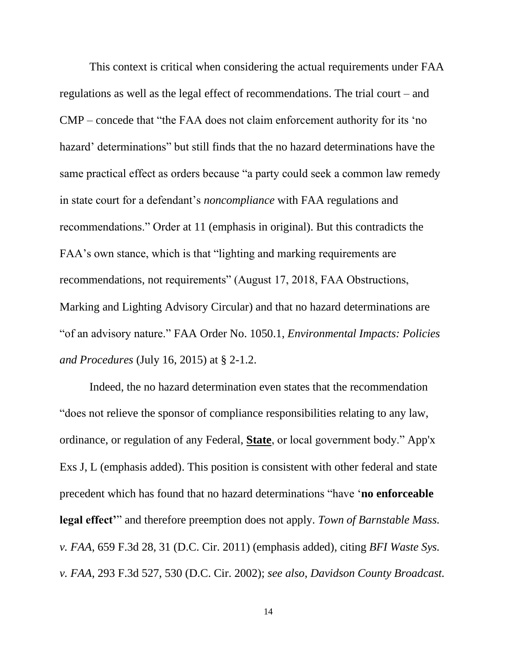This context is critical when considering the actual requirements under FAA regulations as well as the legal effect of recommendations. The trial court – and CMP – concede that "the FAA does not claim enforcement authority for its 'no hazard' determinations" but still finds that the no hazard determinations have the same practical effect as orders because "a party could seek a common law remedy in state court for a defendant's *noncompliance* with FAA regulations and recommendations." Order at 11 (emphasis in original). But this contradicts the FAA's own stance, which is that "lighting and marking requirements are recommendations, not requirements" (August 17, 2018, FAA Obstructions, Marking and Lighting Advisory Circular) and that no hazard determinations are "of an advisory nature." FAA Order No. 1050.1, *Environmental Impacts: Policies and Procedures* (July 16, 2015) at § 2-1.2.

Indeed, the no hazard determination even states that the recommendation "does not relieve the sponsor of compliance responsibilities relating to any law, ordinance, or regulation of any Federal, **State**, or local government body." App'x Exs J, L (emphasis added). This position is consistent with other federal and state precedent which has found that no hazard determinations "have '**no enforceable legal effect'**" and therefore preemption does not apply. *Town of Barnstable Mass. v. FAA*, 659 F.3d 28, 31 (D.C. Cir. 2011) (emphasis added), citing *BFI Waste Sys. v. FAA*, 293 F.3d 527, 530 (D.C. Cir. 2002); *see also*, *Davidson County Broadcast.*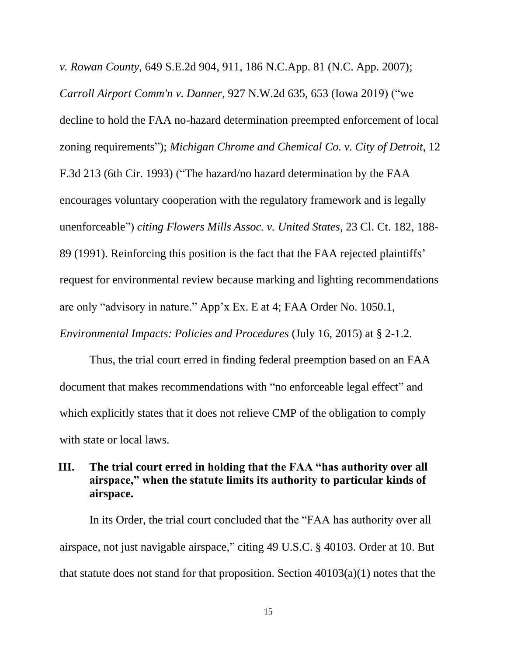*v. Rowan County*, 649 S.E.2d 904, 911, 186 N.C.App. 81 (N.C. App. 2007); *Carroll Airport Comm'n v. Danner*, 927 N.W.2d 635, 653 (Iowa 2019) ("we decline to hold the FAA no-hazard determination preempted enforcement of local zoning requirements"); *Michigan Chrome and Chemical Co. v. City of Detroit*, 12 F.3d 213 (6th Cir. 1993) ("The hazard/no hazard determination by the FAA encourages voluntary cooperation with the regulatory framework and is legally unenforceable") *citing Flowers Mills Assoc. v. United States*, 23 Cl. Ct. 182, 188- 89 (1991). Reinforcing this position is the fact that the FAA rejected plaintiffs' request for environmental review because marking and lighting recommendations are only "advisory in nature." App'x Ex. E at 4; FAA Order No. 1050.1,

*Environmental Impacts: Policies and Procedures* (July 16, 2015) at § 2-1.2.

Thus, the trial court erred in finding federal preemption based on an FAA document that makes recommendations with "no enforceable legal effect" and which explicitly states that it does not relieve CMP of the obligation to comply with state or local laws.

# **III. The trial court erred in holding that the FAA "has authority over all airspace," when the statute limits its authority to particular kinds of airspace.**

In its Order, the trial court concluded that the "FAA has authority over all airspace, not just navigable airspace," citing 49 U.S.C. § 40103. Order at 10. But that statute does not stand for that proposition. Section  $40103(a)(1)$  notes that the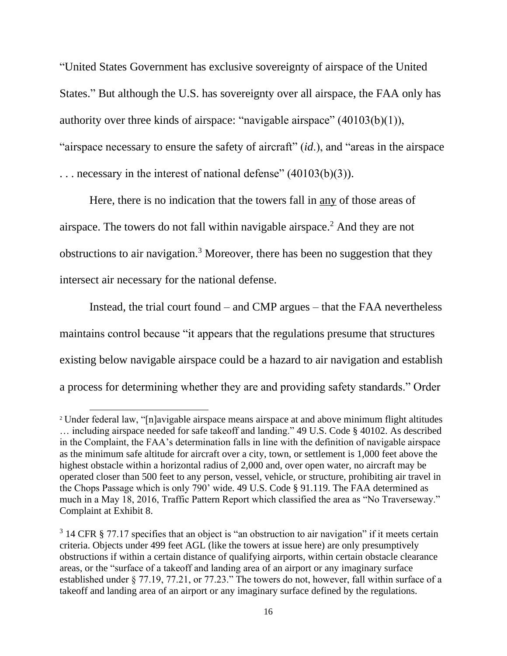"United States Government has exclusive sovereignty of airspace of the United States." But although the U.S. has sovereignty over all airspace, the FAA only has authority over three kinds of airspace: "navigable airspace" (40103(b)(1)), "airspace necessary to ensure the safety of aircraft" (*id*.), and "areas in the airspace . . . necessary in the interest of national defense" (40103(b)(3)).

Here, there is no indication that the towers fall in any of those areas of airspace. The towers do not fall within navigable airspace.<sup>2</sup> And they are not obstructions to air navigation.<sup>3</sup> Moreover, there has been no suggestion that they intersect air necessary for the national defense.

Instead, the trial court found – and CMP argues – that the FAA nevertheless maintains control because "it appears that the regulations presume that structures existing below navigable airspace could be a hazard to air navigation and establish a process for determining whether they are and providing safety standards." Order

<sup>2</sup> Under federal law, "[n]avigable airspace means airspace at and above minimum flight altitudes … including airspace needed for safe takeoff and landing." 49 U.S. Code § 40102. As described in the Complaint, the FAA's determination falls in line with the definition of navigable airspace as the minimum safe altitude for aircraft over a city, town, or settlement is 1,000 feet above the highest obstacle within a horizontal radius of 2,000 and, over open water, no aircraft may be operated closer than 500 feet to any person, vessel, vehicle, or structure, prohibiting air travel in the Chops Passage which is only 790' wide. 49 U.S. Code § 91.119. The FAA determined as much in a May 18, 2016, Traffic Pattern Report which classified the area as "No Traverseway." Complaint at Exhibit 8.

 $3$  14 CFR § 77.17 specifies that an object is "an obstruction to air navigation" if it meets certain criteria. Objects under 499 feet AGL (like the towers at issue here) are only presumptively obstructions if within a certain distance of qualifying airports, within certain obstacle clearance areas, or the "surface of a takeoff and landing area of an airport or any imaginary surface established under § 77.19, 77.21, or 77.23." The towers do not, however, fall within surface of a takeoff and landing area of an airport or any imaginary surface defined by the regulations.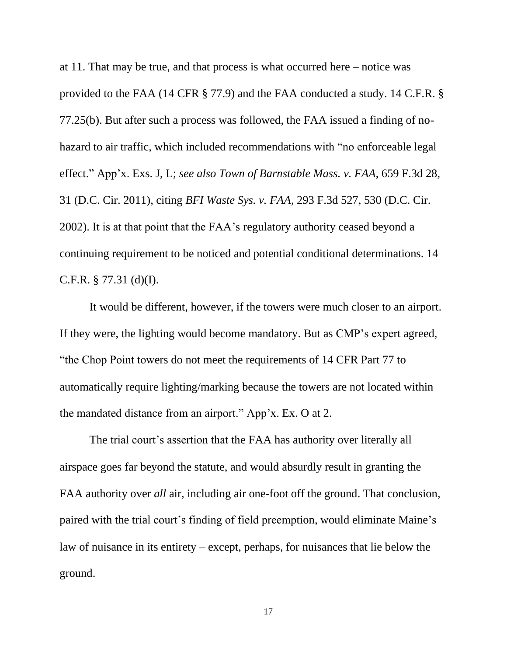at 11. That may be true, and that process is what occurred here – notice was provided to the FAA (14 CFR § 77.9) and the FAA conducted a study. 14 C.F.R. § 77.25(b). But after such a process was followed, the FAA issued a finding of nohazard to air traffic, which included recommendations with "no enforceable legal effect." App'x. Exs. J, L; *see also Town of Barnstable Mass. v. FAA*, 659 F.3d 28, 31 (D.C. Cir. 2011), citing *BFI Waste Sys. v. FAA*, 293 F.3d 527, 530 (D.C. Cir. 2002). It is at that point that the FAA's regulatory authority ceased beyond a continuing requirement to be noticed and potential conditional determinations. 14 C.F.R. § 77.31 (d)(I).

It would be different, however, if the towers were much closer to an airport. If they were, the lighting would become mandatory. But as CMP's expert agreed, "the Chop Point towers do not meet the requirements of 14 CFR Part 77 to automatically require lighting/marking because the towers are not located within the mandated distance from an airport." App'x. Ex. O at 2.

The trial court's assertion that the FAA has authority over literally all airspace goes far beyond the statute, and would absurdly result in granting the FAA authority over *all* air, including air one-foot off the ground. That conclusion, paired with the trial court's finding of field preemption, would eliminate Maine's law of nuisance in its entirety – except, perhaps, for nuisances that lie below the ground.

17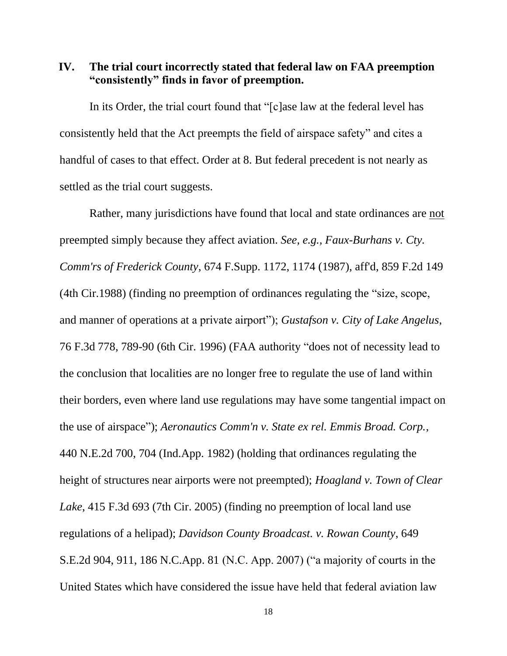**IV. The trial court incorrectly stated that federal law on FAA preemption "consistently" finds in favor of preemption.**

In its Order, the trial court found that "[c]ase law at the federal level has consistently held that the Act preempts the field of airspace safety" and cites a handful of cases to that effect. Order at 8. But federal precedent is not nearly as settled as the trial court suggests.

Rather, many jurisdictions have found that local and state ordinances are not preempted simply because they affect aviation. *See, e.g., Faux-Burhans v. Cty. Comm'rs of Frederick County*, 674 F.Supp. 1172, 1174 (1987), aff'd, 859 F.2d 149 (4th Cir.1988) (finding no preemption of ordinances regulating the "size, scope, and manner of operations at a private airport"); *Gustafson v. City of Lake Angelus*, 76 F.3d 778, 789-90 (6th Cir. 1996) (FAA authority "does not of necessity lead to the conclusion that localities are no longer free to regulate the use of land within their borders, even where land use regulations may have some tangential impact on the use of airspace"); *Aeronautics Comm'n v. State ex rel. Emmis Broad. Corp.*, 440 N.E.2d 700, 704 (Ind.App. 1982) (holding that ordinances regulating the height of structures near airports were not preempted); *Hoagland v. Town of Clear Lake*, 415 F.3d 693 (7th Cir. 2005) (finding no preemption of local land use regulations of a helipad); *Davidson County Broadcast. v. Rowan County*, 649 S.E.2d 904, 911, 186 N.C.App. 81 (N.C. App. 2007) ("a majority of courts in the United States which have considered the issue have held that federal aviation law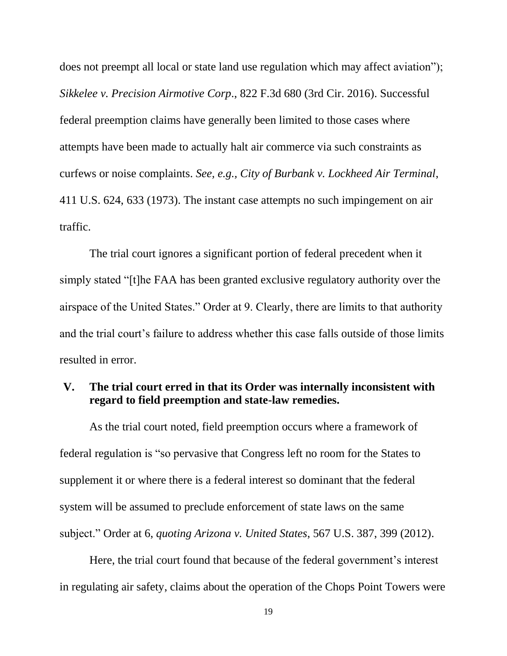does not preempt all local or state land use regulation which may affect aviation"); *Sikkelee v. Precision Airmotive Corp*., 822 F.3d 680 (3rd Cir. 2016). Successful federal preemption claims have generally been limited to those cases where attempts have been made to actually halt air commerce via such constraints as curfews or noise complaints. *See, e.g., City of Burbank v. Lockheed Air Terminal*, 411 U.S. 624, 633 (1973). The instant case attempts no such impingement on air traffic.

The trial court ignores a significant portion of federal precedent when it simply stated "[t]he FAA has been granted exclusive regulatory authority over the airspace of the United States." Order at 9. Clearly, there are limits to that authority and the trial court's failure to address whether this case falls outside of those limits resulted in error.

## **V. The trial court erred in that its Order was internally inconsistent with regard to field preemption and state-law remedies.**

As the trial court noted, field preemption occurs where a framework of federal regulation is "so pervasive that Congress left no room for the States to supplement it or where there is a federal interest so dominant that the federal system will be assumed to preclude enforcement of state laws on the same subject." Order at 6, *quoting Arizona v. United States*, 567 U.S. 387, 399 (2012).

Here, the trial court found that because of the federal government's interest in regulating air safety, claims about the operation of the Chops Point Towers were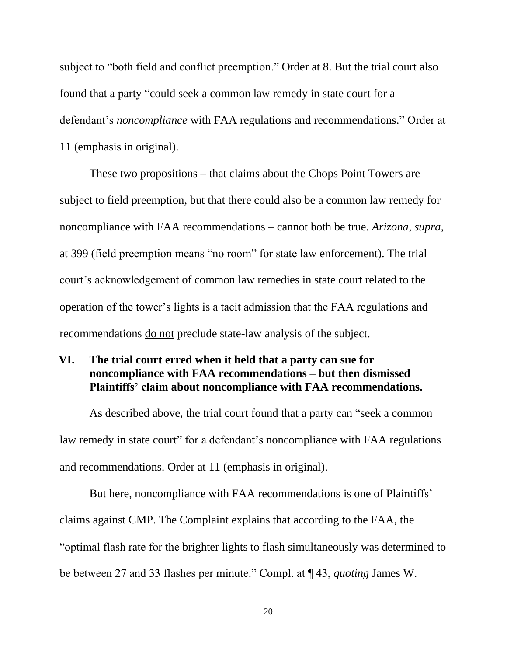subject to "both field and conflict preemption." Order at 8. But the trial court also found that a party "could seek a common law remedy in state court for a defendant's *noncompliance* with FAA regulations and recommendations." Order at 11 (emphasis in original).

These two propositions – that claims about the Chops Point Towers are subject to field preemption, but that there could also be a common law remedy for noncompliance with FAA recommendations – cannot both be true. *Arizona, supra,*  at 399 (field preemption means "no room" for state law enforcement). The trial court's acknowledgement of common law remedies in state court related to the operation of the tower's lights is a tacit admission that the FAA regulations and recommendations do not preclude state-law analysis of the subject.

# **VI. The trial court erred when it held that a party can sue for noncompliance with FAA recommendations – but then dismissed Plaintiffs' claim about noncompliance with FAA recommendations.**

As described above, the trial court found that a party can "seek a common law remedy in state court" for a defendant's noncompliance with FAA regulations and recommendations. Order at 11 (emphasis in original).

But here, noncompliance with FAA recommendations is one of Plaintiffs' claims against CMP. The Complaint explains that according to the FAA, the "optimal flash rate for the brighter lights to flash simultaneously was determined to be between 27 and 33 flashes per minute." Compl. at ¶ 43, *quoting* James W.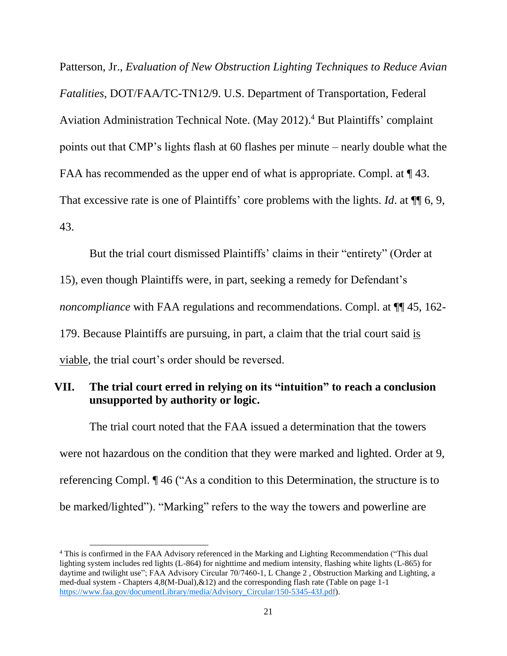Patterson, Jr., *Evaluation of New Obstruction Lighting Techniques to Reduce Avian Fatalities*, DOT/FAA/TC-TN12/9. U.S. Department of Transportation, Federal Aviation Administration Technical Note. (May 2012). <sup>4</sup> But Plaintiffs' complaint points out that CMP's lights flash at 60 flashes per minute – nearly double what the FAA has recommended as the upper end of what is appropriate. Compl. at  $\P$  43. That excessive rate is one of Plaintiffs' core problems with the lights. *Id*. at ¶¶ 6, 9, 43.

But the trial court dismissed Plaintiffs' claims in their "entirety" (Order at 15), even though Plaintiffs were, in part, seeking a remedy for Defendant's *noncompliance* with FAA regulations and recommendations. Compl. at  $\P$  45, 162-179. Because Plaintiffs are pursuing, in part, a claim that the trial court said is viable, the trial court's order should be reversed.

# **VII. The trial court erred in relying on its "intuition" to reach a conclusion unsupported by authority or logic.**

The trial court noted that the FAA issued a determination that the towers were not hazardous on the condition that they were marked and lighted. Order at 9, referencing Compl. ¶ 46 ("As a condition to this Determination, the structure is to be marked/lighted"). "Marking" refers to the way the towers and powerline are

<sup>4</sup> This is confirmed in the FAA Advisory referenced in the Marking and Lighting Recommendation ("This dual lighting system includes red lights (L-864) for nighttime and medium intensity, flashing white lights (L-865) for daytime and twilight use"; FAA Advisory Circular 70/7460-1, L Change 2 , Obstruction Marking and Lighting, a med-dual system - Chapters 4,8(M-Dual),&12) and the corresponding flash rate (Table on page 1-1 [https://www.faa.gov/documentLibrary/media/Advisory\\_Circular/150-5345-43J.pdf\)](https://www.faa.gov/documentLibrary/media/Advisory_Circular/150-5345-43J.pdf).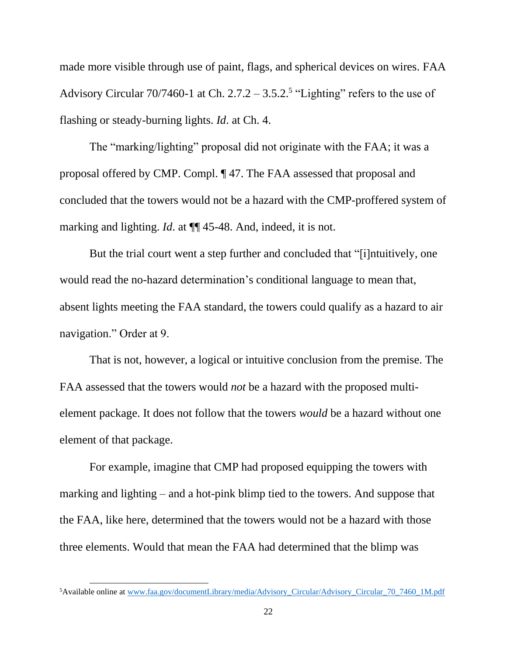made more visible through use of paint, flags, and spherical devices on wires. FAA Advisory Circular  $70/7460$ -1 at Ch.  $2.7.2 - 3.5.2$ <sup>5</sup> "Lighting" refers to the use of flashing or steady-burning lights. *Id*. at Ch. 4.

The "marking/lighting" proposal did not originate with the FAA; it was a proposal offered by CMP. Compl. ¶ 47. The FAA assessed that proposal and concluded that the towers would not be a hazard with the CMP-proffered system of marking and lighting. *Id*. at ¶¶ 45-48. And, indeed, it is not.

But the trial court went a step further and concluded that "[i]ntuitively, one would read the no-hazard determination's conditional language to mean that, absent lights meeting the FAA standard, the towers could qualify as a hazard to air navigation." Order at 9.

That is not, however, a logical or intuitive conclusion from the premise. The FAA assessed that the towers would *not* be a hazard with the proposed multielement package. It does not follow that the towers *would* be a hazard without one element of that package.

For example, imagine that CMP had proposed equipping the towers with marking and lighting – and a hot-pink blimp tied to the towers. And suppose that the FAA, like here, determined that the towers would not be a hazard with those three elements. Would that mean the FAA had determined that the blimp was

<sup>5</sup>Available online at [www.faa.gov/documentLibrary/media/Advisory\\_Circular/Advisory\\_Circular\\_70\\_7460\\_1M.pdf](../../../../../Ed/AppData/Local/Microsoft/Windows/Temporary%20Internet%20Files/Content.Outlook/33X5BZQN/www.faa.gov/documentLibrary/media/Advisory_Circular/Advisory_Circular_70_7460_1M.pdf)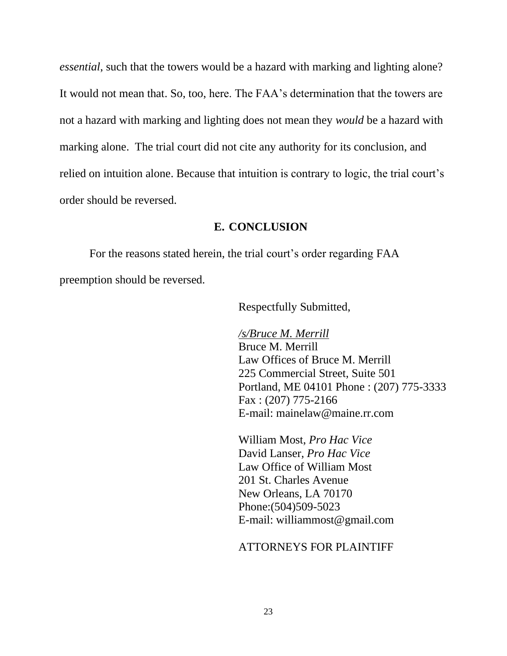*essential*, such that the towers would be a hazard with marking and lighting alone? It would not mean that. So, too, here. The FAA's determination that the towers are not a hazard with marking and lighting does not mean they *would* be a hazard with marking alone. The trial court did not cite any authority for its conclusion, and relied on intuition alone. Because that intuition is contrary to logic, the trial court's order should be reversed.

### **E. CONCLUSION**

For the reasons stated herein, the trial court's order regarding FAA preemption should be reversed.

Respectfully Submitted,

*/s/Bruce M. Merrill*  Bruce M. Merrill Law Offices of Bruce M. Merrill 225 Commercial Street, Suite 501 Portland, ME 04101 Phone : (207) 775-3333 Fax : (207) 775-2166 E-mail: mainelaw@maine.rr.com

William Most, *Pro Hac Vice*  David Lanser, *Pro Hac Vice*  Law Office of William Most 201 St. Charles Avenue New Orleans, LA 70170 Phone:(504)509-5023 E-mail: williammost@gmail.com

### ATTORNEYS FOR PLAINTIFF